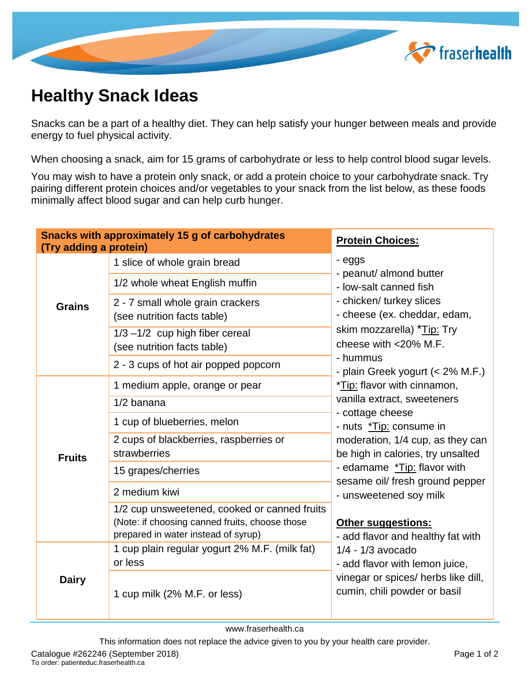

## **Healthy Snack Ideas**

Snacks can be a part of a healthy diet. They can help satisfy your hunger between meals and provide energy to fuel physical activity.

When choosing a snack, aim for 15 grams of carbohydrate or less to help control blood sugar levels.

You may wish to have a protein only snack, or add a protein choice to your carbohydrate snack. Try pairing different protein choices and/or vegetables to your snack from the list below, as these foods minimally affect blood sugar and can help curb hunger.

| <b>Snacks with approximately 15 g of carbohydrates</b><br>(Try adding a protein) |                                                                                                                                       | <b>Protein Choices:</b>                                                                                                                                                                                                                                                                                                                          |
|----------------------------------------------------------------------------------|---------------------------------------------------------------------------------------------------------------------------------------|--------------------------------------------------------------------------------------------------------------------------------------------------------------------------------------------------------------------------------------------------------------------------------------------------------------------------------------------------|
|                                                                                  | 1 slice of whole grain bread                                                                                                          | - eggs<br>- peanut/ almond butter                                                                                                                                                                                                                                                                                                                |
| <b>Grains</b>                                                                    | 1/2 whole wheat English muffin                                                                                                        | - low-salt canned fish<br>- chicken/ turkey slices<br>- cheese (ex. cheddar, edam,<br>skim mozzarella) *Tip: Try<br>cheese with <20% M.F.                                                                                                                                                                                                        |
|                                                                                  | 2 - 7 small whole grain crackers<br>(see nutrition facts table)                                                                       |                                                                                                                                                                                                                                                                                                                                                  |
|                                                                                  | $1/3 - 1/2$ cup high fiber cereal<br>(see nutrition facts table)                                                                      |                                                                                                                                                                                                                                                                                                                                                  |
|                                                                                  | 2 - 3 cups of hot air popped popcorn                                                                                                  | - hummus<br>- plain Greek yogurt (< 2% M.F.)                                                                                                                                                                                                                                                                                                     |
| <b>Fruits</b>                                                                    | 1 medium apple, orange or pear                                                                                                        | *Tip: flavor with cinnamon,<br>vanilla extract, sweeteners<br>- cottage cheese<br>- nuts *Tip: consume in<br>moderation, 1/4 cup, as they can<br>be high in calories, try unsalted<br>- edamame *Tip: flavor with<br>sesame oil/ fresh ground pepper<br>- unsweetened soy milk<br><b>Other suggestions:</b><br>- add flavor and healthy fat with |
|                                                                                  | 1/2 banana                                                                                                                            |                                                                                                                                                                                                                                                                                                                                                  |
|                                                                                  | 1 cup of blueberries, melon                                                                                                           |                                                                                                                                                                                                                                                                                                                                                  |
|                                                                                  | 2 cups of blackberries, raspberries or<br>strawberries                                                                                |                                                                                                                                                                                                                                                                                                                                                  |
|                                                                                  | 15 grapes/cherries                                                                                                                    |                                                                                                                                                                                                                                                                                                                                                  |
|                                                                                  | 2 medium kiwi                                                                                                                         |                                                                                                                                                                                                                                                                                                                                                  |
|                                                                                  | 1/2 cup unsweetened, cooked or canned fruits<br>(Note: if choosing canned fruits, choose those<br>prepared in water instead of syrup) |                                                                                                                                                                                                                                                                                                                                                  |
|                                                                                  | 1 cup plain regular yogurt 2% M.F. (milk fat)<br>or less                                                                              | $1/4 - 1/3$ avocado<br>- add flavor with lemon juice,                                                                                                                                                                                                                                                                                            |
| <b>Dairy</b>                                                                     | 1 cup milk (2% M.F. or less)                                                                                                          | vinegar or spices/ herbs like dill,<br>cumin, chili powder or basil                                                                                                                                                                                                                                                                              |

www.fraserhealth.ca

This information does not replace the advice given to you by your health care provider.